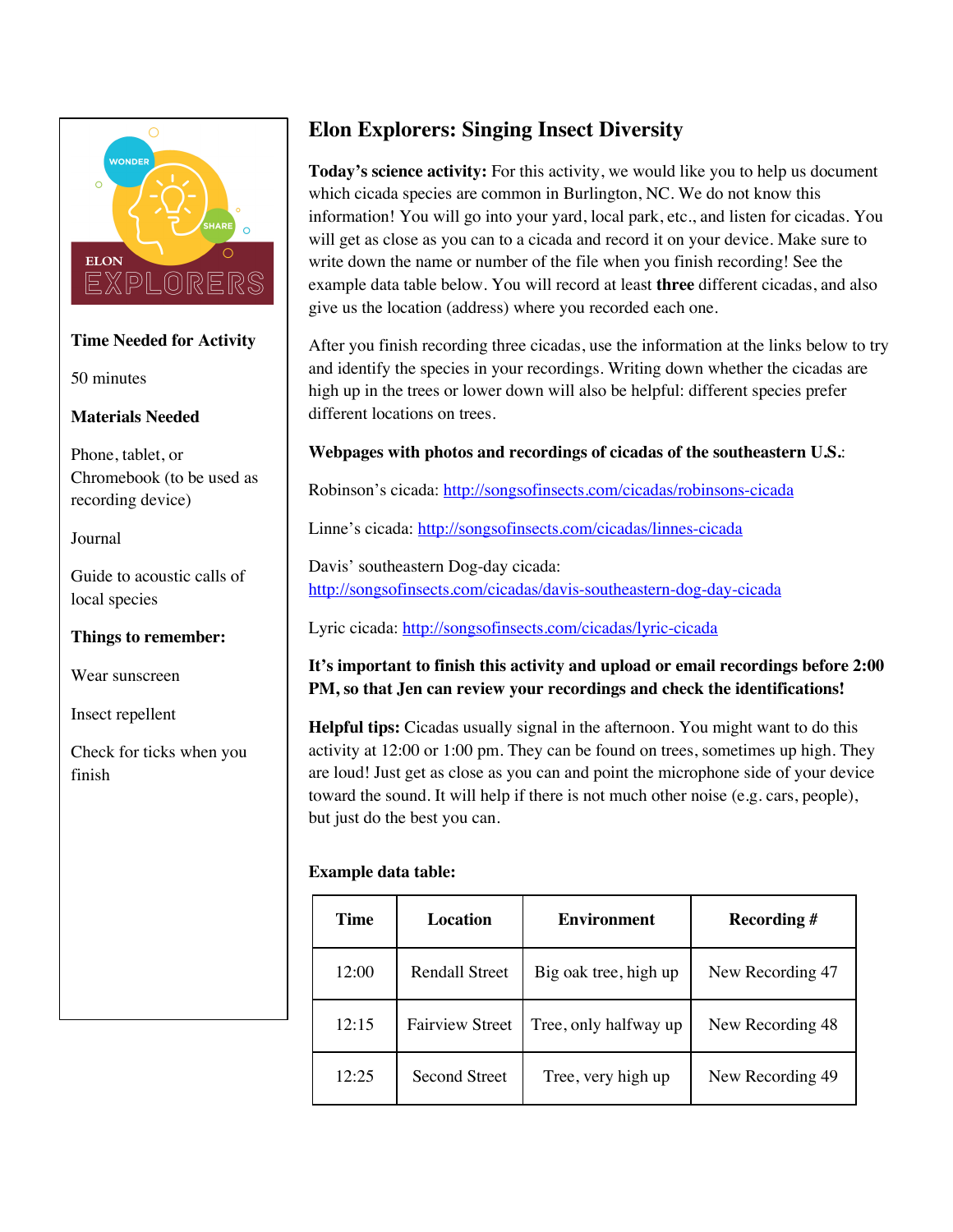

## **Time Needed for Activity**

50 minutes

## **Materials Needed**

Phone, tablet, or Chromebook (to be used as recording device)

## Journal

Guide to acoustic calls of local species

## **Things to remember:**

Wear sunscreen

Insect repellent

Check for ticks when you finish

# **Elon Explorers: Singing Insect Diversity**

**Today's science activity:** For this activity, we would like you to help us document which cicada species are common in Burlington, NC. We do not know this information! You will go into your yard, local park, etc., and listen for cicadas. You will get as close as you can to a cicada and record it on your device. Make sure to write down the name or number of the file when you finish recording! See the example data table below. You will record at least **three** different cicadas, and also give us the location (address) where you recorded each one.

After you finish recording three cicadas, use the information at the links below to try and identify the species in your recordings. Writing down whether the cicadas are high up in the trees or lower down will also be helpful: different species prefer different locations on trees.

# **Webpages with photos and recordings of cicadas of the southeastern U.S.**:

Robinson's cicada: http://songsofinsects.com/cicadas/robinsons-cicada

Linne's cicada: http://songsofinsects.com/cicadas/linnes-cicada

Davis' southeastern Dog-day cicada: http://songsofinsects.com/cicadas/davis-southeastern-dog-day-cicada

Lyric cicada: http://songsofinsects.com/cicadas/lyric-cicada

# **It's important to finish this activity and upload or email recordings before 2:00 PM, so that Jen can review your recordings and check the identifications!**

**Helpful tips:** Cicadas usually signal in the afternoon. You might want to do this activity at 12:00 or 1:00 pm. They can be found on trees, sometimes up high. They are loud! Just get as close as you can and point the microphone side of your device toward the sound. It will help if there is not much other noise (e.g. cars, people), but just do the best you can.

# **Example data table:**

| Time  | <b>Location</b>        | <b>Environment</b>    | Recording #      |
|-------|------------------------|-----------------------|------------------|
| 12:00 | <b>Rendall Street</b>  | Big oak tree, high up | New Recording 47 |
| 12:15 | <b>Fairview Street</b> | Tree, only halfway up | New Recording 48 |
| 12:25 | Second Street          | Tree, very high up    | New Recording 49 |